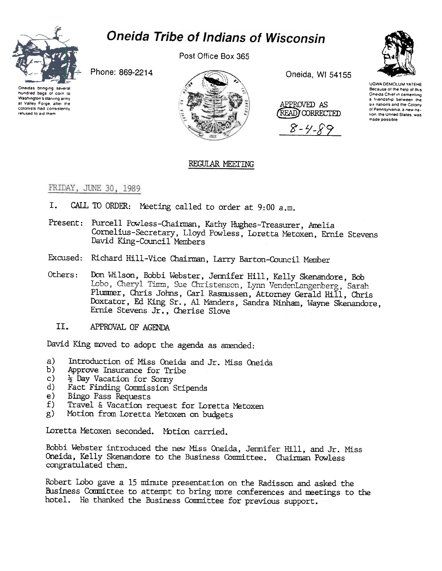

## **Oneida Tribe of Indians of Wisconsin**

Post Office Box 365

Phone: 869-2214



Oneida, WI 54155

APPROVED AS (READ) CORRECTED

 $8 - 4 - 1$ 



UGWA DEMOLUM YATEHE Because of the help of this Oneida Chief in cementing a friendship between the six nations and the Colony of Pennsylvania, a new nation, the United States, was made possible



## REGULAR MEETING

FRIDAY, JUNE 30, 1989

- CALL TO ORDER: Meeting called to order at 9:00 a.m. I.
- Present: Purcell Powless-Chairman, Kathy Hughes-Treasurer, Amelia Cornelius-Secretary, Lloyd Powless, Loretta Metoxen, Ernie Stevens David King-Council Members
- Excused: Richard Hill-Vice Chairman, Larry Barton-Council Member
- Don Wilson, Bobbi Webster, Jennifer Hill, Kelly Skenandore, Bob Others: Lobo, Cheryl Timm, Sue Christenson, Lynn VendenLangenberg, Sarah Plummer, Chris Johns, Carl Rasmussen, Attorney Gerald Hill, Chris Doxtator, Ed King Sr., Al Manders, Sandra Ninham, Wayne Skenandore, Ernie Stevens Jr., Cherise Slove
	- II. APPROVAL OF AGENDA

David King moved to adopt the agenda as amended:

- Introduction of Miss Oneida and Jr. Miss Oneida a)
- $b)$ Approve Insurance for Tribe
- $c)$ <sup>2</sup> Day Vacation for Sonny
- $\mathbf{d}$ Fact Finding Commission Stipends
- Bingo Pass Requests e)
- Travel & Vacation request for Loretta Metoxen  $f$ )
- Motion from Loretta Metoxen on budgets  $g)$

Loretta Metoxen seconded. Motion carried.

Bobbi Webster introduced the new Miss Oneida, Jermifer Hill, and Jr. Miss Oneida, Kelly Skenandore to the Business Committee. Chairman Powless congratulated them.

Robert Lobo gave a 15 minute presentation on the Radisson and asked the Business Committee to attempt to bring more conferences and meetings to the hotel. He thanked the Business Committee for previous support.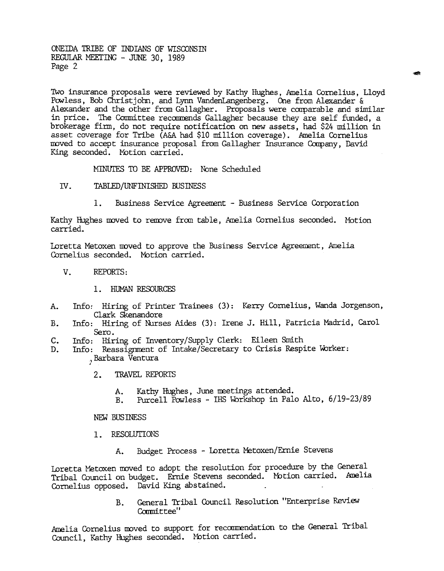ONEillA TRIBE OF INDIANS OF WISCONSIN REGULAR MEETING - JUNE 30, 1989 Page 2

Two insurance proposals were reviewed by Kathy Hughes, Amelia Cornelius, Lloyd Powless, Bob Christjohn, and Lynn VandenLangenberg. One from Alexander & Alexander and the other from Gallagher. Proposals were comparable and similar in price. The Committee recommends Gallagher because they are self funded, a brokerage firm, do not require notification on new assets, had \$24 million in asset coverage for Tribe (A&A had \$10 million coverage). Amelia Cornelius moved to accept insurance proposal from Gallagher Insurance Company, David King seconded. Motion carried.

cd!

MINUTES TO BE APPROVED: None Scheduled

- IV. TABLED/UNFINISHED BUSINESS
	- 1. Business Service Agreement Business Service Corporation

Kathy Hughes moved to remove from table, Amelia Cornelius seconded. Motion carried.

Loretta Metoxen moved to approve the Business Service Agreement, Amelia Cornelius seconded. Motion carried.

- v. REPORTS:
	- 1. HUMAN RESOURCES
- Info: Hiring of Printer Trainees (3): Kerry Cornelius, Wanda Jorgenson  $A_{\star}$ Clark Skenandore
- Info: Hiring of Nurses Aides (3): Irene J. Hill, Patricia Madrid, Carol Sero. B.
- Info: Hiring of Inventory/Supply Clerk: Eileen Smith c.
- Info: Reassignment of Intake/Secretary to Crisis Respite WOrker: , Barbara Ventur D.
	- - A. Kathy Hughes, June neetings attended.
		- B. Purcell Powless -IRS Wbrkshop in Palo Alto, 6/19-23/89

NEW BUSINESS

- 1. RESOLUTIONS
	- Budget Process -Loretta Metoxen/Ernie Stevens

2. TRAVEL REPORTS<br>
A. Kathy Hughe<br>
B. Purcell Pow<br>
NEW BUSINESS<br>
1. RESOLUTIONS<br>
A. Budget Proc<br>
Loretta Metoxen moved to adopt<br>
Tribal Council on budget. Erni<br>
Cornelius opposed. David King<br>
B. General Tri<br>
Committee''<br>
A Loretta Metoxen moved to adopt the resolution for procedure by the General Tribal Council on budget. Ernie Stevens seconded. Motion carried. Amelia Cornelius opposed. David King abstained.

General Tribal Council Resolution "Enterprise Review Committee" B.

Amelia Cornelius moved to support for recommendation to the General Tribal Council, Kathy Hughes seconded. Motion carried.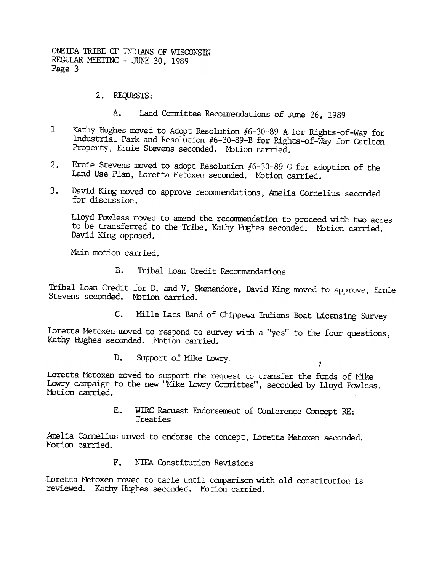ONEIDA TRIBE OF INDIANS OF WISCONSIN REGUlAR MEETING -JUNE 30, 1989 Page 3

- 2. REQUESTS:
	- A. Land Committee Recommendations of June 26, 1989
- 1 Kathy HUghes moved to Adopt Resolution #6-30-89-A for Rights-of-Way for Industrial Park and Resolution #6-30-89-B for Rights-of-Way for Carlton Property, Ernie Stevens seconded. Motion carried.
- 2. Ernie Stevens moved to adopt Resolution #6-30-89-C £or adoption of the Land Use Plan, Loretta Metoxen seconded. MOtion carried.
- 3. David King moved to approve recommendations, Amelia Cornelius seconded for discussion.

Lloyd Powless moved to amend the recommendation to proceed with two acres to be transferred to the Tribe, Kathy Hughes seconded. Motion carried. David King opposed.

Main motion carried.

B. Tribal Loan Credit Recommendations

Tribal Loan Credit for D. and V. Skenandore, David King moved to approve, Ernie Stevens seconded. Motion carried.

c. Mille lacs Band of Chippewa Indians Boat Licensing Survey

.

Loretta Metoxen moved to respond to survey with a "yes" to the four questions, Kathy Hughes seconded. Motion carried.

> D. Support of Mike Lowry

Loretta Metoxen moved to support the request to transfer the funds of Mike Lowry campaign to the new "Mike Lowry Counittee", seconded by Lloyd Powless. Motion carried.

> E. WIRC Request Endorsement of Conference Concept RE: Treaties

Amelia Cornelius moved to endorse the concept, Loretta Metoxen seconded. Motion carried.

F. NIFA Constitution Revisions

Loretta Metoxen moved to table until comparison with old constitution is reviewed. Kathy Hughes seconded. Motion carried.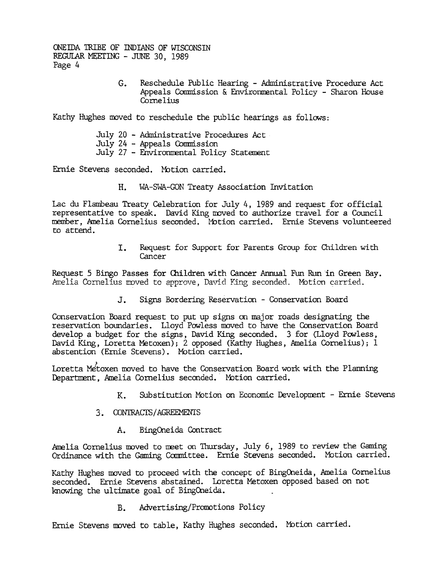ONEIDA TRIBE OF INDIANS OF WISCONSIN REGULAR MEETING - JUNE 30, 1989 Page 4

> $G_{\bullet}$ Reschedule Public Hearing -Administrative Procedure Act Appeals Commission & Environmental Policy - Sharon House Cornelius

Kathy Hughes moved to reschedule the public hearings as follows:

July 20 - Administrative Procedures Act July 24 - Appeals Commission July 27 -Environmental Policy Statement

Ernie Stevens seconded. Motion carried.

Lac du Flambeau Treaty Celebration for July 4, 1989 and request for official representative to speak. David King moved to authorize travel for a Council member, Amelia Cornelius seconded. Motion carried. Ernie Stevens volunteered to attend.

> Request for Support for Parents Group for Children with Cancer

Request 5 Bingo Passes for Children with Cancer Annual Fun Run in Green Bay. Amelia Cornelius moved to approve, David King seconded. Motion carried.

Signs Bordering Reservation - Conservation Board

H. WA-SWA-GON Treaty Association Invitation<br>
Ide chi Planckeut Treaty Celebration for July 4, 1989 and reference<br>
representative to speak. Bavid King moved to authorize the<br>
member, Amelia Cornelius seconded. Motion carrie Conservation Board request to put up signs on major roads designating the reservation boundaries. Lloyd Powless moved to have the Conservation Board develop a budget for the signs, David King seconded. 3 for (Lloyd Powless, David King, Loretta Metoxen); 2 opposed (Kathy Hughes, Amelia Cornelius); 1 abstention (Ernie Stevens). Motion carried.

Loretta Metoxen moved to have the Conservation Board work with the Plannin Department, Amelia Cornelius seconded. Motion carried.

- K. Substitution Motion on Economic Development Ernie Stevens
- 3. CONTRACTS/AGREEMENTS
	- A. BingOneida Contract

Amelia Cornelius moved to meet on Thursday, July 6, 1989 to review the Gaming Ordinance with the Gaming Committee. Ernie Stevens seconded. Mbtion carried.

Kathy Hughes moved to proceed with the concept of BingOneida, Amelia Cornelius seconded. Ernie Stevens abstained. Loretta Metoxen opposed based on not knowing the ultimate goal of BingOneida.

B. Advertising/Promotions Policy

Ernie Stevens moved to table, Kathy Hughes seconded. Motion carried.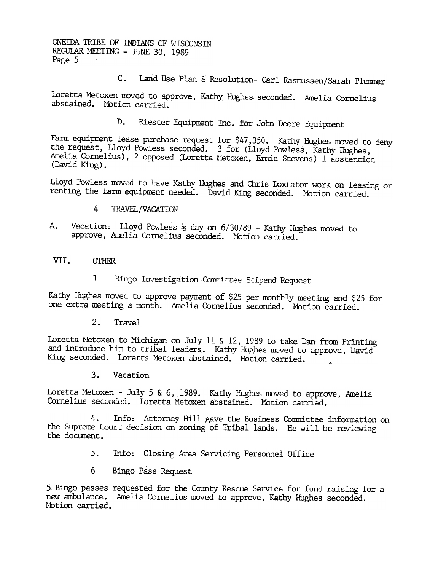ONEillA 1RIBE OF INDIANS OF WISCONSIN REGULAR MEETING - JUNE 30, 1989 Page 5

C. Land Use Plan & Resolution- Carl Rasmussen/Sarah Plummer

Loretta Metoxen moved to approve, Kathy Hughes seconded. Amelia Cornelius abstained. Motion carried.

> D. Riester Equipment Inc. for John Deere Equipment

Farm equipment lease purchase request for  $\frac{547,350}{2}$ . Kathy Hughes moved to deny the request, Lloyd Powless seconded. 3 for (Lloyd Powless, Kathy Hughes, knelia Cornelius), 2 opposed (Loretta Metoxen, Ernie Stevens) 1 abstention (David King).

Lloyd Powless moved to have Kathy Hughes and Chris Doxtator work on leasing or renting the farm equipment needed. David King seconded. Motion carried.

- 4 TRAVEL/VACATION
- Vacation: Lloyd Powless  $\frac{1}{2}$  day on 6/30/89 Kathy Hughes moved to A. approve, Amelia Cornelius seconded. Motion carried.
- VII. **OTHER** 
	- 1 Bingo Investigation Committee Stipend Request

Kathy Hughes moved to approve payment of \$25 per monthly meeting and \$25 for one extra meeting a month. Amelia Cornelius seconded. Motion carried.

2. Travel

Loretta Metoxen to Michigan on July 11 & 12, 1989 to take Dan from Printing and introduce him to tribal leaders. Kathy Hughes moved to approve, David King seconded. Loretta Metoxen abstained. Motion carried.

Loretta Metoxen - July 5 & 6, 1989. Kathy Hughes moved to approve, Amelia Cornelius seconded. Loretta Metoxen abstained. Motion carried.

3. Vacation<br>
Loretta Metoxen - July<br>
Cornelius seconded. Lot<br>
4. Info: 4<br>
the Supreme Court decis<br>
the document.<br>
5. Info: 0<br>
6 Bingo Pa<br>
5 Bingo passes requeste<br>
new ambulance. Amelia<br>
Motion carried. 4. Info: Attorney Hill gave the Business Conmittee information on the Supreme Court decision on zoning of Tribal lands. He will be reviewing the docunent.

- 5. Info: Closing Area Servicing Personnel Office
- 6 Bingo Pass Request

5 Bingo passes requested for the County Rescue Service for fund raising for a new ambulance. Amelia Cornelius moved to approve, Kathy Hughes seconded. Motion carried.